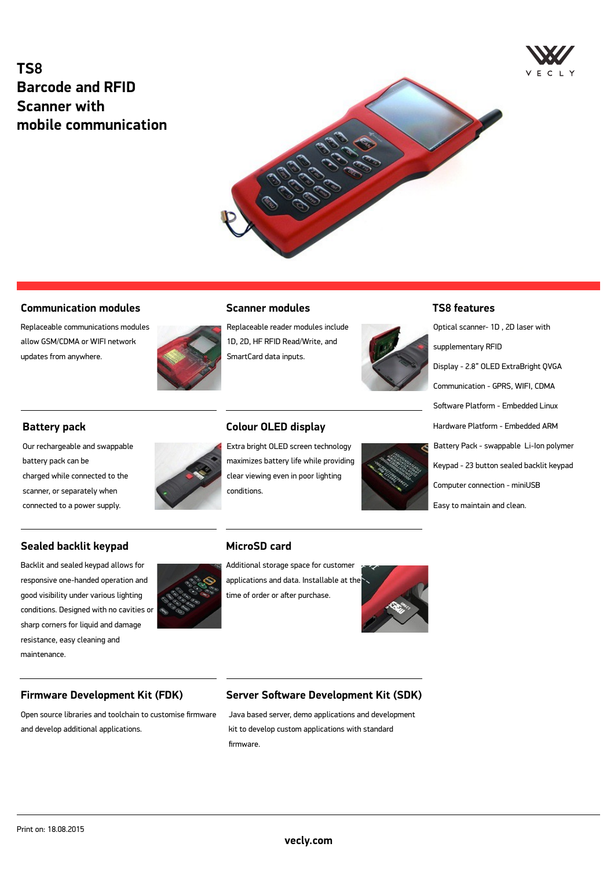# **TS8 Barcode and RFID Scanner with mobile communication**





#### **Communication modules**

Replaceable communications modules allow GSM/CDMA or WIFI network updates from anywhere.



#### **Scanner modules**

Replaceable reader modules include 1D, 2D, HF RFID Read/Write, and SmartCard data inputs.

**Colour OLED display**

conditions.

**MicroSD card**

Extra bright OLED screen technology maximizes battery life while providing clear viewing even in poor lighting



#### **TS8 features**

Optical scanner- 1D , 2D laser with supplementary RFID Display - 2.8" OLED ExtraBright QVGA Communication - GPRS, WIFI, CDMA Software Platform - Embedded Linux Hardware Platform - Embedded ARM Battery Pack - swappable Li-Ion polymer Keypad - 23 button sealed backlit keypad Computer connection - miniUSB Easy to maintain and clean.

#### **Battery pack**

Our rechargeable and swappable battery pack can be charged while connected to the scanner, or separately when connected to a power supply.

#### **Sealed backlit keypad**

Backlit and sealed keypad allows for responsive one-handed operation and good visibility under various lighting conditions. Designed with no cavities or sharp corners for liquid and damage resistance, easy cleaning and maintenance.

# Additional storage space for customer applications and data. Installable at the time of order or after purchase.



#### **Firmware Development Kit (FDK)**

Open source libraries and toolchain to customise firmware and develop additional applications.

### **Server Software Development Kit (SDK)**

Java based server, demo applications and development kit to develop custom applications with standard firmware.